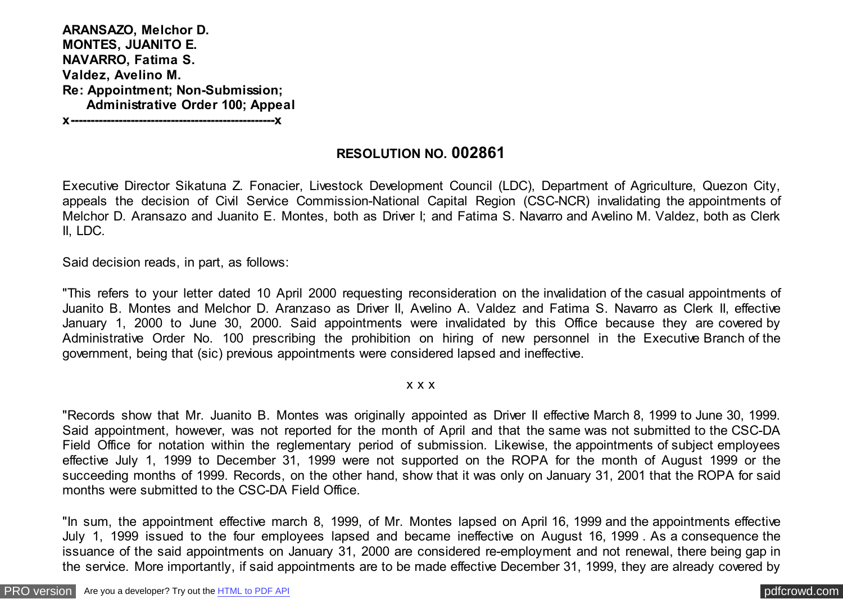**ARANSAZO, Melchor D. MONTES, JUANITO E. NAVARRO, Fatima S. Valdez, Avelino M. Re: Appointment; Non-Submission; Administrative Order 100; Appeal**

**x---------------------------------------------------x**

## **RESOLUTION NO. 002861**

Executive Director Sikatuna Z. Fonacier, Livestock Development Council (LDC), Department of Agriculture, Quezon City, appeals the decision of Civil Service Commission-National Capital Region (CSC-NCR) invalidating the appointments of Melchor D. Aransazo and Juanito E. Montes, both as Driver I; and Fatima S. Navarro and Avelino M. Valdez, both as Clerk II, LDC.

Said decision reads, in part, as follows:

"This refers to your letter dated 10 April 2000 requesting reconsideration on the invalidation of the casual appointments of Juanito B. Montes and Melchor D. Aranzaso as Driver II, Avelino A. Valdez and Fatima S. Navarro as Clerk II, effective January 1, 2000 to June 30, 2000. Said appointments were invalidated by this Office because they are covered by Administrative Order No. 100 prescribing the prohibition on hiring of new personnel in the Executive Branch of the government, being that (sic) previous appointments were considered lapsed and ineffective.

#### x x x

"Records show that Mr. Juanito B. Montes was originally appointed as Driver II effective March 8, 1999 to June 30, 1999. Said appointment, however, was not reported for the month of April and that the same was not submitted to the CSC-DA Field Office for notation within the reglementary period of submission. Likewise, the appointments of subject employees effective July 1, 1999 to December 31, 1999 were not supported on the ROPA for the month of August 1999 or the succeeding months of 1999. Records, on the other hand, show that it was only on January 31, 2001 that the ROPA for said months were submitted to the CSC-DA Field Office.

"In sum, the appointment effective march 8, 1999, of Mr. Montes lapsed on April 16, 1999 and the appointments effective July 1, 1999 issued to the four employees lapsed and became ineffective on August 16, 1999 . As a consequence the issuance of the said appointments on January 31, 2000 are considered re-employment and not renewal, there being gap in the service. More importantly, if said appointments are to be made effective December 31, 1999, they are already covered by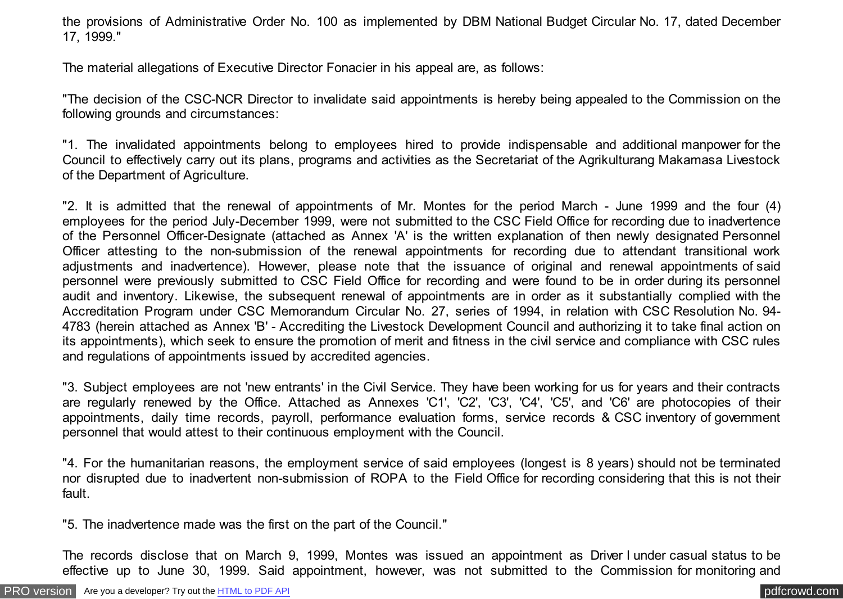the provisions of Administrative Order No. 100 as implemented by DBM National Budget Circular No. 17, dated December 17, 1999."

The material allegations of Executive Director Fonacier in his appeal are, as follows:

"The decision of the CSC-NCR Director to invalidate said appointments is hereby being appealed to the Commission on the following grounds and circumstances:

"1. The invalidated appointments belong to employees hired to provide indispensable and additional manpower for the Council to effectively carry out its plans, programs and activities as the Secretariat of the Agrikulturang Makamasa Livestock of the Department of Agriculture.

"2. It is admitted that the renewal of appointments of Mr. Montes for the period March - June 1999 and the four (4) employees for the period July-December 1999, were not submitted to the CSC Field Office for recording due to inadvertence of the Personnel Officer-Designate (attached as Annex 'A' is the written explanation of then newly designated Personnel Officer attesting to the non-submission of the renewal appointments for recording due to attendant transitional work adjustments and inadvertence). However, please note that the issuance of original and renewal appointments of said personnel were previously submitted to CSC Field Office for recording and were found to be in order during its personnel audit and inventory. Likewise, the subsequent renewal of appointments are in order as it substantially complied with the Accreditation Program under CSC Memorandum Circular No. 27, series of 1994, in relation with CSC Resolution No. 94- 4783 (herein attached as Annex 'B' - Accrediting the Livestock Development Council and authorizing it to take final action on its appointments), which seek to ensure the promotion of merit and fitness in the civil service and compliance with CSC rules and regulations of appointments issued by accredited agencies.

"3. Subject employees are not 'new entrants' in the Civil Service. They have been working for us for years and their contracts are regularly renewed by the Office. Attached as Annexes 'C1', 'C2', 'C3', 'C4', 'C5', and 'C6' are photocopies of their appointments, daily time records, payroll, performance evaluation forms, service records & CSC inventory of government personnel that would attest to their continuous employment with the Council.

"4. For the humanitarian reasons, the employment service of said employees (longest is 8 years) should not be terminated nor disrupted due to inadvertent non-submission of ROPA to the Field Office for recording considering that this is not their fault.

"5. The inadvertence made was the first on the part of the Council."

The records disclose that on March 9, 1999, Montes was issued an appointment as Driver I under casual status to be effective up to June 30, 1999. Said appointment, however, was not submitted to the Commission for monitoring and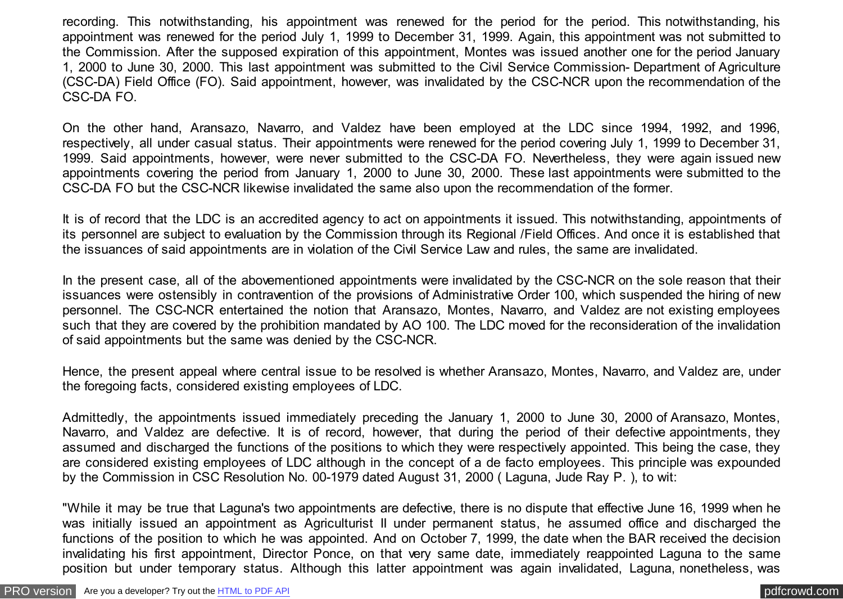recording. This notwithstanding, his appointment was renewed for the period for the period. This notwithstanding, his appointment was renewed for the period July 1, 1999 to December 31, 1999. Again, this appointment was not submitted to the Commission. After the supposed expiration of this appointment, Montes was issued another one for the period January 1, 2000 to June 30, 2000. This last appointment was submitted to the Civil Service Commission- Department of Agriculture (CSC-DA) Field Office (FO). Said appointment, however, was invalidated by the CSC-NCR upon the recommendation of the CSC-DA FO.

On the other hand, Aransazo, Navarro, and Valdez have been employed at the LDC since 1994, 1992, and 1996, respectively, all under casual status. Their appointments were renewed for the period covering July 1, 1999 to December 31, 1999. Said appointments, however, were never submitted to the CSC-DA FO. Nevertheless, they were again issued new appointments covering the period from January 1, 2000 to June 30, 2000. These last appointments were submitted to the CSC-DA FO but the CSC-NCR likewise invalidated the same also upon the recommendation of the former.

It is of record that the LDC is an accredited agency to act on appointments it issued. This notwithstanding, appointments of its personnel are subject to evaluation by the Commission through its Regional /Field Offices. And once it is established that the issuances of said appointments are in violation of the Civil Service Law and rules, the same are invalidated.

In the present case, all of the abovementioned appointments were invalidated by the CSC-NCR on the sole reason that their issuances were ostensibly in contravention of the provisions of Administrative Order 100, which suspended the hiring of new personnel. The CSC-NCR entertained the notion that Aransazo, Montes, Navarro, and Valdez are not existing employees such that they are covered by the prohibition mandated by AO 100. The LDC moved for the reconsideration of the invalidation of said appointments but the same was denied by the CSC-NCR.

Hence, the present appeal where central issue to be resolved is whether Aransazo, Montes, Navarro, and Valdez are, under the foregoing facts, considered existing employees of LDC.

Admittedly, the appointments issued immediately preceding the January 1, 2000 to June 30, 2000 of Aransazo, Montes, Navarro, and Valdez are defective. It is of record, however, that during the period of their defective appointments, they assumed and discharged the functions of the positions to which they were respectively appointed. This being the case, they are considered existing employees of LDC although in the concept of a de facto employees. This principle was expounded by the Commission in CSC Resolution No. 00-1979 dated August 31, 2000 ( Laguna, Jude Ray P. ), to wit:

"While it may be true that Laguna's two appointments are defective, there is no dispute that effective June 16, 1999 when he was initially issued an appointment as Agriculturist II under permanent status, he assumed office and discharged the functions of the position to which he was appointed. And on October 7, 1999, the date when the BAR received the decision invalidating his first appointment, Director Ponce, on that very same date, immediately reappointed Laguna to the same position but under temporary status. Although this latter appointment was again invalidated, Laguna, nonetheless, was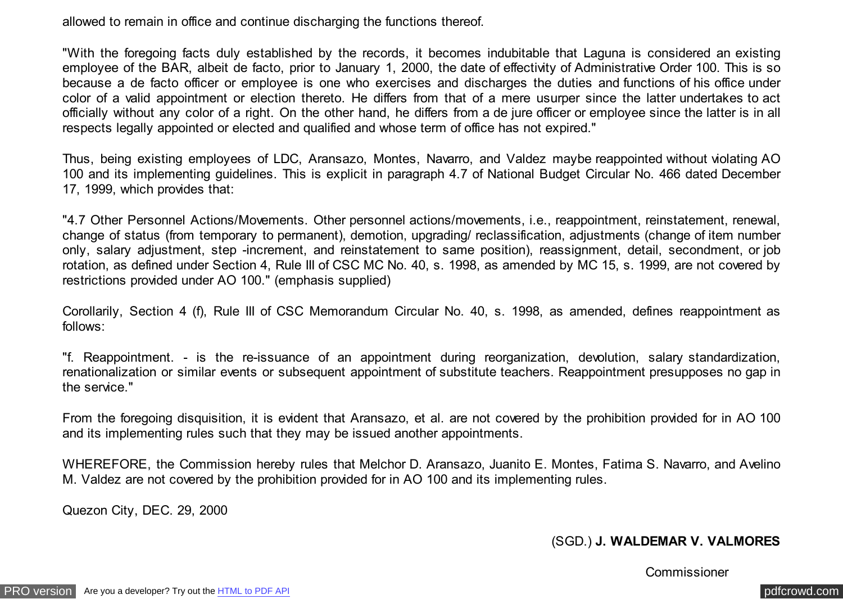allowed to remain in office and continue discharging the functions thereof.

"With the foregoing facts duly established by the records, it becomes indubitable that Laguna is considered an existing employee of the BAR, albeit de facto, prior to January 1, 2000, the date of effectivity of Administrative Order 100. This is so because a de facto officer or employee is one who exercises and discharges the duties and functions of his office under color of a valid appointment or election thereto. He differs from that of a mere usurper since the latter undertakes to act officially without any color of a right. On the other hand, he differs from a de jure officer or employee since the latter is in all respects legally appointed or elected and qualified and whose term of office has not expired."

Thus, being existing employees of LDC, Aransazo, Montes, Navarro, and Valdez maybe reappointed without violating AO 100 and its implementing guidelines. This is explicit in paragraph 4.7 of National Budget Circular No. 466 dated December 17, 1999, which provides that:

"4.7 Other Personnel Actions/Movements. Other personnel actions/movements, i.e., reappointment, reinstatement, renewal, change of status (from temporary to permanent), demotion, upgrading/ reclassification, adjustments (change of item number only, salary adjustment, step -increment, and reinstatement to same position), reassignment, detail, secondment, or job rotation, as defined under Section 4, Rule III of CSC MC No. 40, s. 1998, as amended by MC 15, s. 1999, are not covered by restrictions provided under AO 100." (emphasis supplied)

Corollarily, Section 4 (f), Rule III of CSC Memorandum Circular No. 40, s. 1998, as amended, defines reappointment as follows:

"f. Reappointment. - is the re-issuance of an appointment during reorganization, devolution, salary standardization, renationalization or similar events or subsequent appointment of substitute teachers. Reappointment presupposes no gap in the service."

From the foregoing disquisition, it is evident that Aransazo, et al. are not covered by the prohibition provided for in AO 100 and its implementing rules such that they may be issued another appointments.

WHEREFORE, the Commission hereby rules that Melchor D. Aransazo, Juanito E. Montes, Fatima S. Navarro, and Avelino M. Valdez are not covered by the prohibition provided for in AO 100 and its implementing rules.

Quezon City, DEC. 29, 2000

### (SGD.) **J. WALDEMAR V. VALMORES**

### **Commissioner**